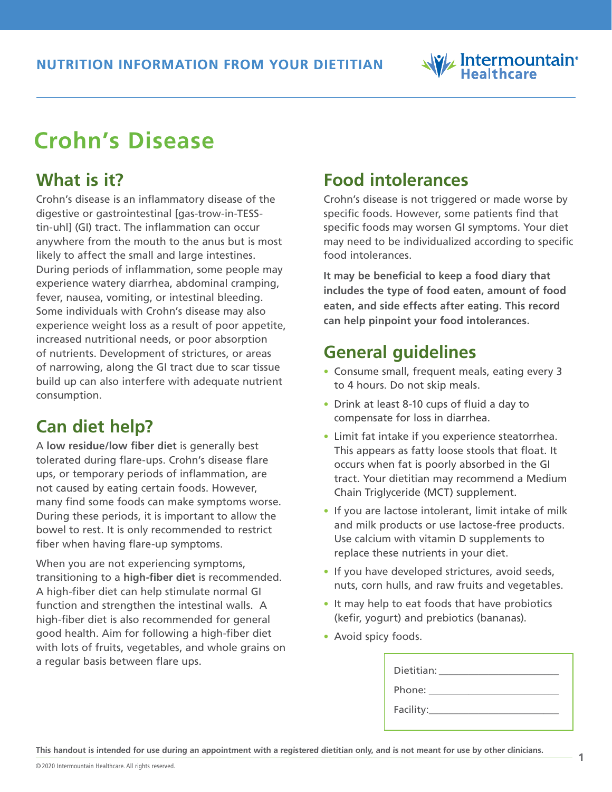# Intermountain<sup>®</sup>

# **Crohn's Disease**

## **What is it?**

Crohn's disease is an inflammatory disease of the digestive or gastrointestinal [gas-trow-in-TESStin-uhl] (GI) tract. The inflammation can occur anywhere from the mouth to the anus but is most likely to affect the small and large intestines. During periods of inflammation, some people may experience watery diarrhea, abdominal cramping, fever, nausea, vomiting, or intestinal bleeding. Some individuals with Crohn's disease may also experience weight loss as a result of poor appetite, increased nutritional needs, or poor absorption of nutrients. Development of strictures, or areas of narrowing, along the GI tract due to scar tissue build up can also interfere with adequate nutrient consumption.

## **Can diet help?**

A **low residue/low fiber diet** is generally best tolerated during flare-ups. Crohn's disease flare ups, or temporary periods of inflammation, are not caused by eating certain foods. However, many find some foods can make symptoms worse. During these periods, it is important to allow the bowel to rest. It is only recommended to restrict fiber when having flare-up symptoms.

When you are not experiencing symptoms, transitioning to a **high-fiber diet** is recommended. A high-fiber diet can help stimulate normal GI function and strengthen the intestinal walls. A high-fiber diet is also recommended for general good health. Aim for following a high-fiber diet with lots of fruits, vegetables, and whole grains on a regular basis between flare ups.

#### **Food intolerances**

Crohn's disease is not triggered or made worse by specific foods. However, some patients find that specific foods may worsen GI symptoms. Your diet may need to be individualized according to specific food intolerances.

**It may be beneficial to keep a food diary that includes the type of food eaten, amount of food eaten, and side effects after eating. This record can help pinpoint your food intolerances.** 

## **General guidelines**

- **•** Consume small, frequent meals, eating every 3 to 4 hours. Do not skip meals.
- **•** Drink at least 8-10 cups of fluid a day to compensate for loss in diarrhea.
- **•** Limit fat intake if you experience steatorrhea. This appears as fatty loose stools that float. It occurs when fat is poorly absorbed in the GI tract. Your dietitian may recommend a Medium Chain Triglyceride (MCT) supplement.
- **•** If you are lactose intolerant, limit intake of milk and milk products or use lactose-free products. Use calcium with vitamin D supplements to replace these nutrients in your diet.
- **•** If you have developed strictures, avoid seeds, nuts, corn hulls, and raw fruits and vegetables.
- **•** It may help to eat foods that have probiotics (kefir, yogurt) and prebiotics (bananas).
- **•** Avoid spicy foods.

| Dietitian: |  |
|------------|--|
| Phone: __  |  |
| Facility:  |  |

**<sup>1</sup> This handout is intended for use during an appointment with a registered dietitian only, and is not meant for use by other clinicians.**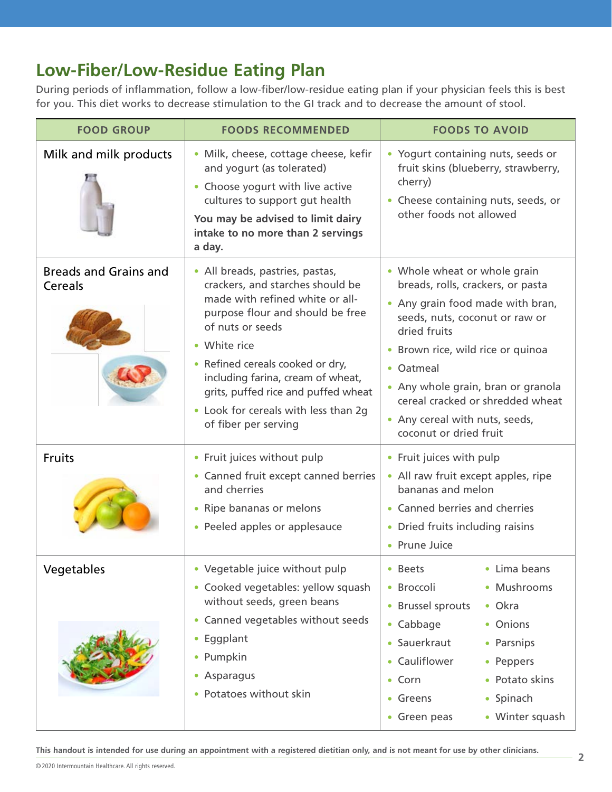#### **Low-Fiber/Low-Residue Eating Plan**

During periods of inflammation, follow a low-fiber/low-residue eating plan if your physician feels this is best for you. This diet works to decrease stimulation to the GI track and to decrease the amount of stool.

| <b>FOOD GROUP</b>                       | <b>FOODS RECOMMENDED</b>                                                                                                                                                                                                                                                                                                                                       | <b>FOODS TO AVOID</b>                                                                                                                                                                                                                                                                                                                           |
|-----------------------------------------|----------------------------------------------------------------------------------------------------------------------------------------------------------------------------------------------------------------------------------------------------------------------------------------------------------------------------------------------------------------|-------------------------------------------------------------------------------------------------------------------------------------------------------------------------------------------------------------------------------------------------------------------------------------------------------------------------------------------------|
| Milk and milk products                  | · Milk, cheese, cottage cheese, kefir<br>and yogurt (as tolerated)<br>• Choose yogurt with live active<br>cultures to support gut health<br>You may be advised to limit dairy<br>intake to no more than 2 servings<br>a day.                                                                                                                                   | • Yogurt containing nuts, seeds or<br>fruit skins (blueberry, strawberry,<br>cherry)<br>• Cheese containing nuts, seeds, or<br>other foods not allowed                                                                                                                                                                                          |
| <b>Breads and Grains and</b><br>Cereals | • All breads, pastries, pastas,<br>crackers, and starches should be<br>made with refined white or all-<br>purpose flour and should be free<br>of nuts or seeds<br>• White rice<br>• Refined cereals cooked or dry,<br>including farina, cream of wheat,<br>grits, puffed rice and puffed wheat<br>• Look for cereals with less than 2g<br>of fiber per serving | • Whole wheat or whole grain<br>breads, rolls, crackers, or pasta<br>• Any grain food made with bran,<br>seeds, nuts, coconut or raw or<br>dried fruits<br>• Brown rice, wild rice or quinoa<br>• Oatmeal<br>• Any whole grain, bran or granola<br>cereal cracked or shredded wheat<br>• Any cereal with nuts, seeds,<br>coconut or dried fruit |
| Fruits                                  | • Fruit juices without pulp<br>• Canned fruit except canned berries<br>and cherries<br>• Ripe bananas or melons<br>• Peeled apples or applesauce                                                                                                                                                                                                               | • Fruit juices with pulp<br>• All raw fruit except apples, ripe<br>bananas and melon<br>• Canned berries and cherries<br>• Dried fruits including raisins<br>• Prune Juice                                                                                                                                                                      |
| Vegetables                              | • Vegetable juice without pulp<br>• Cooked vegetables: yellow squash<br>without seeds, green beans<br>• Canned vegetables without seeds<br>• Eggplant<br>• Pumpkin<br>• Asparagus<br>• Potatoes without skin                                                                                                                                                   | • Beets<br>• Lima beans<br>• Broccoli<br>• Mushrooms<br>• Brussel sprouts<br>• Okra<br>• Cabbage<br>• Onions<br>• Sauerkraut<br>• Parsnips<br>• Cauliflower<br>• Peppers<br>• Potato skins<br>$\bullet$ Corn<br>• Greens<br>• Spinach<br>• Winter squash<br>• Green peas                                                                        |

**<sup>22</sup> This handout is intended for use during an appointment with a registered dietitian only, and is not meant for use by other clinicians.**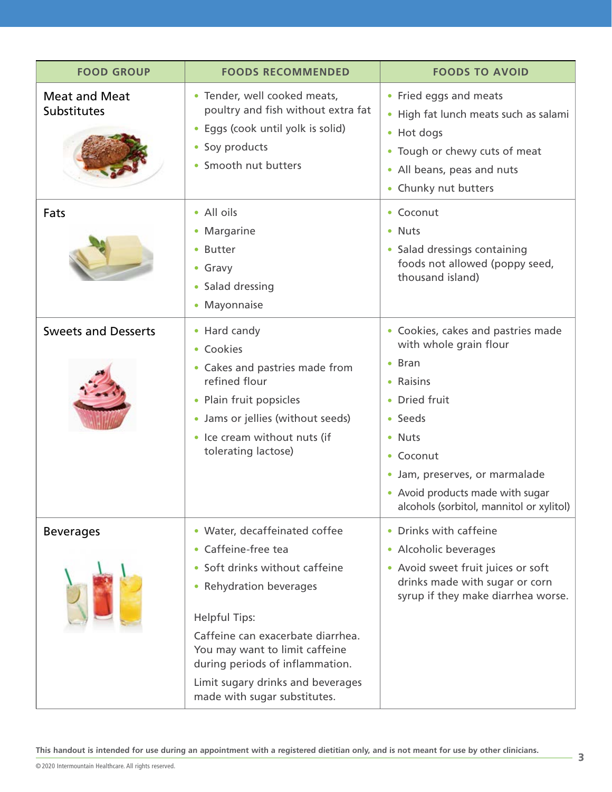| <b>FOOD GROUP</b>                   | <b>FOODS RECOMMENDED</b>                                                                                                                                                                                                                                                                                                 | <b>FOODS TO AVOID</b>                                                                                                                                                                                                                                            |
|-------------------------------------|--------------------------------------------------------------------------------------------------------------------------------------------------------------------------------------------------------------------------------------------------------------------------------------------------------------------------|------------------------------------------------------------------------------------------------------------------------------------------------------------------------------------------------------------------------------------------------------------------|
| <b>Meat and Meat</b><br>Substitutes | • Tender, well cooked meats,<br>poultry and fish without extra fat<br>Eggs (cook until yolk is solid)<br>$\bullet$<br>• Soy products<br>• Smooth nut butters                                                                                                                                                             | • Fried eggs and meats<br>• High fat lunch meats such as salami<br>• Hot dogs<br>• Tough or chewy cuts of meat<br>• All beans, peas and nuts<br>• Chunky nut butters                                                                                             |
| Fats                                | • All oils<br>• Margarine<br>• Butter<br>• Gravy<br>• Salad dressing<br>• Mayonnaise                                                                                                                                                                                                                                     | • Coconut<br>• Nuts<br>• Salad dressings containing<br>foods not allowed (poppy seed,<br>thousand island)                                                                                                                                                        |
| <b>Sweets and Desserts</b>          | • Hard candy<br>• Cookies<br>• Cakes and pastries made from<br>refined flour<br>• Plain fruit popsicles<br>• Jams or jellies (without seeds)<br>• Ice cream without nuts (if<br>tolerating lactose)                                                                                                                      | • Cookies, cakes and pastries made<br>with whole grain flour<br>$\bullet$ Bran<br>• Raisins<br>• Dried fruit<br>• Seeds<br>• Nuts<br>• Coconut<br>• Jam, preserves, or marmalade<br>• Avoid products made with sugar<br>alcohols (sorbitol, mannitol or xylitol) |
| <b>Beverages</b>                    | • Water, decaffeinated coffee<br>• Caffeine-free tea<br>• Soft drinks without caffeine<br>• Rehydration beverages<br><b>Helpful Tips:</b><br>Caffeine can exacerbate diarrhea.<br>You may want to limit caffeine<br>during periods of inflammation.<br>Limit sugary drinks and beverages<br>made with sugar substitutes. | • Drinks with caffeine<br>• Alcoholic beverages<br>• Avoid sweet fruit juices or soft<br>drinks made with sugar or corn<br>syrup if they make diarrhea worse.                                                                                                    |